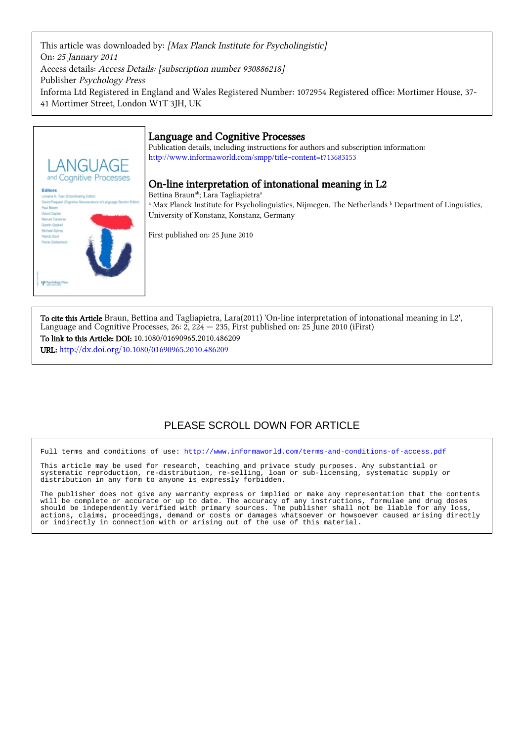This article was downloaded by: [Max Planck Institute for Psycholingistic] On: 25 January 2011 Access details: Access Details: [subscription number 930886218] Publisher Psychology Press Informa Ltd Registered in England and Wales Registered Number: 1072954 Registered office: Mortimer House, 37- 41 Mortimer Street, London W1T 3JH, UK



Publication details, including instructions for authors and subscription information: <http://www.informaworld.com/smpp/title~content=t713683153>



# On-line interpretation of intonational meaning in L2

Bettina Braun<sup>ab</sup>; Lara Tagliapietra<sup>a</sup> <sup>a</sup> Max Planck Institute for Psycholinguistics, Nijmegen, The Netherlands <sup>b</sup> Department of Linguistics, University of Konstanz, Konstanz, Germany

First published on: 25 June 2010

To cite this Article Braun, Bettina and Tagliapietra, Lara(2011) 'On-line interpretation of intonational meaning in L2', Language and Cognitive Processes, 26:  $\tilde{Z}$ ,  $2\tilde{24}$   $-$  235, First published on: 25 June 2010 (iFirst) To link to this Article: DOI: 10.1080/01690965.2010.486209 URL: <http://dx.doi.org/10.1080/01690965.2010.486209>

# PLEASE SCROLL DOWN FOR ARTICLE

Full terms and conditions of use:<http://www.informaworld.com/terms-and-conditions-of-access.pdf>

This article may be used for research, teaching and private study purposes. Any substantial or systematic reproduction, re-distribution, re-selling, loan or sub-licensing, systematic supply or distribution in any form to anyone is expressly forbidden.

The publisher does not give any warranty express or implied or make any representation that the contents will be complete or accurate or up to date. The accuracy of any instructions, formulae and drug doses should be independently verified with primary sources. The publisher shall not be liable for any loss, actions, claims, proceedings, demand or costs or damages whatsoever or howsoever caused arising directly or indirectly in connection with or arising out of the use of this material.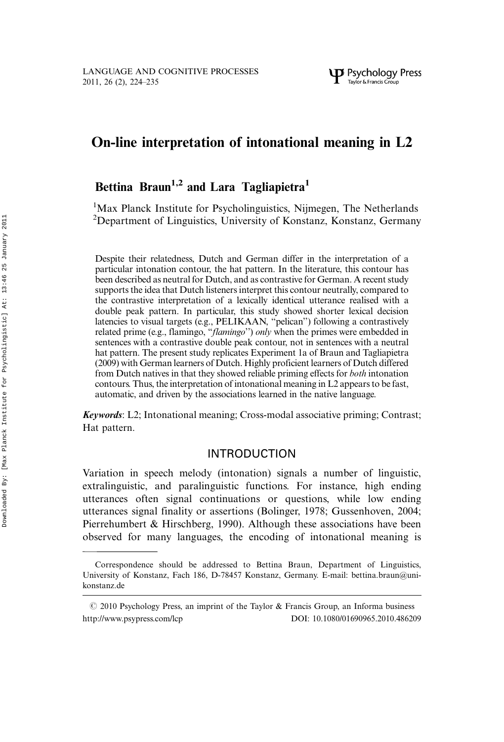# On-line interpretation of intonational meaning in L2

# Bettina Braun<sup>1,2</sup> and Lara Tagliapietra<sup>1</sup>

<sup>1</sup>Max Planck Institute for Psycholinguistics, Nijmegen, The Netherlands 2 Department of Linguistics, University of Konstanz, Konstanz, Germany

Despite their relatedness, Dutch and German differ in the interpretation of a particular intonation contour, the hat pattern. In the literature, this contour has been described as neutral for Dutch, and as contrastive for German. A recent study supports the idea that Dutch listeners interpret this contour neutrally, compared to the contrastive interpretation of a lexically identical utterance realised with a double peak pattern. In particular, this study showed shorter lexical decision latencies to visual targets (e.g., PELIKAAN, ''pelican'') following a contrastively related prime (e.g., flamingo, "*flamingo*") only when the primes were embedded in sentences with a contrastive double peak contour, not in sentences with a neutral hat pattern. The present study replicates Experiment 1a of Braun and Tagliapietra (2009) with German learners of Dutch. Highly proficient learners of Dutch differed from Dutch natives in that they showed reliable priming effects for both intonation contours. Thus, the interpretation of intonational meaning in L2 appears to be fast, automatic, and driven by the associations learned in the native language.

Keywords: L2; Intonational meaning; Cross-modal associative priming; Contrast; Hat pattern.

# INTRODUCTION

Variation in speech melody (intonation) signals a number of linguistic, extralinguistic, and paralinguistic functions. For instance, high ending utterances often signal continuations or questions, while low ending utterances signal finality or assertions (Bolinger, 1978; Gussenhoven, 2004; Pierrehumbert & Hirschberg, 1990). Although these associations have been observed for many languages, the encoding of intonational meaning is

Correspondence should be addressed to Bettina Braun, Department of Linguistics, University of Konstanz, Fach 186, D-78457 Konstanz, Germany. E-mail: bettina.braun@unikonstanz.de

 $\degree$  2010 Psychology Press, an imprint of the Taylor & Francis Group, an Informa business http://www.psypress.com/lcp DOI: 10.1080/01690965.2010.486209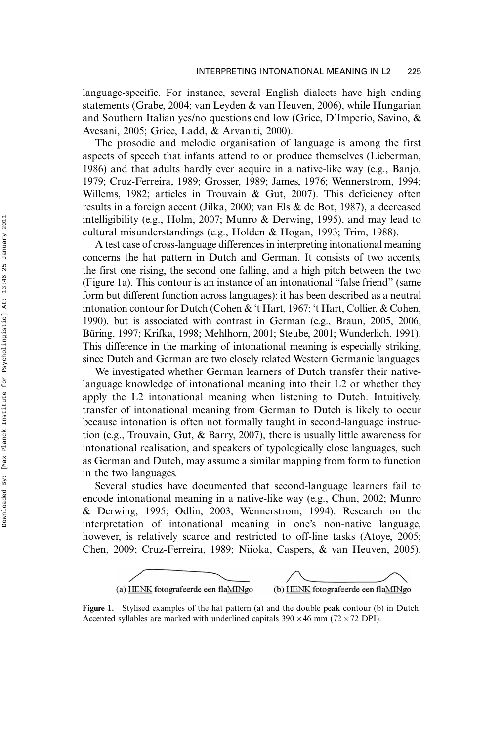language-specific. For instance, several English dialects have high ending statements (Grabe, 2004; van Leyden & van Heuven, 2006), while Hungarian and Southern Italian yes/no questions end low (Grice, D'Imperio, Savino, & Avesani, 2005; Grice, Ladd, & Arvaniti, 2000).

The prosodic and melodic organisation of language is among the first aspects of speech that infants attend to or produce themselves (Lieberman, 1986) and that adults hardly ever acquire in a native-like way (e.g., Banjo, 1979; Cruz-Ferreira, 1989; Grosser, 1989; James, 1976; Wennerstrom, 1994; Willems, 1982; articles in Trouvain & Gut, 2007). This deficiency often results in a foreign accent (Jilka, 2000; van Els & de Bot, 1987), a decreased intelligibility (e.g., Holm, 2007; Munro & Derwing, 1995), and may lead to cultural misunderstandings (e.g., Holden & Hogan, 1993; Trim, 1988).

A test case of cross-language differences in interpreting intonational meaning concerns the hat pattern in Dutch and German. It consists of two accents, the first one rising, the second one falling, and a high pitch between the two (Figure 1a). This contour is an instance of an intonational ''false friend'' (same form but different function across languages): it has been described as a neutral intonation contour for Dutch (Cohen & 't Hart, 1967; 't Hart, Collier, & Cohen, 1990), but is associated with contrast in German (e.g., Braun, 2005, 2006; Büring, 1997; Krifka, 1998; Mehlhorn, 2001; Steube, 2001; Wunderlich, 1991). This difference in the marking of intonational meaning is especially striking, since Dutch and German are two closely related Western Germanic languages.

We investigated whether German learners of Dutch transfer their nativelanguage knowledge of intonational meaning into their L2 or whether they apply the L2 intonational meaning when listening to Dutch. Intuitively, transfer of intonational meaning from German to Dutch is likely to occur because intonation is often not formally taught in second-language instruction (e.g., Trouvain, Gut, & Barry, 2007), there is usually little awareness for intonational realisation, and speakers of typologically close languages, such as German and Dutch, may assume a similar mapping from form to function in the two languages.

Several studies have documented that second-language learners fail to encode intonational meaning in a native-like way (e.g., Chun, 2002; Munro & Derwing, 1995; Odlin, 2003; Wennerstrom, 1994). Research on the interpretation of intonational meaning in one's non-native language, however, is relatively scarce and restricted to off-line tasks (Atoye, 2005; Chen, 2009; Cruz-Ferreira, 1989; Niioka, Caspers, & van Heuven, 2005).



Figure 1. Stylised examples of the hat pattern (a) and the double peak contour (b) in Dutch. Accented syllables are marked with underlined capitals  $390 \times 46$  mm (72  $\times$  72 DPI).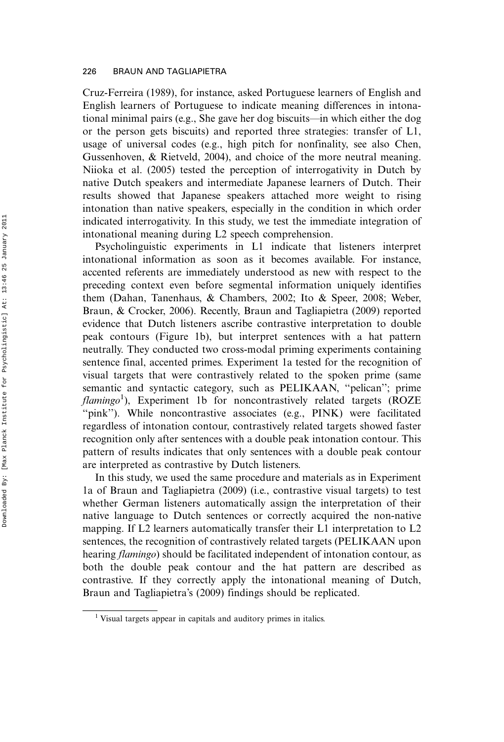Cruz-Ferreira (1989), for instance, asked Portuguese learners of English and English learners of Portuguese to indicate meaning differences in intonational minimal pairs (e.g., She gave her dog biscuits—in which either the dog or the person gets biscuits) and reported three strategies: transfer of L1, usage of universal codes (e.g., high pitch for nonfinality, see also Chen, Gussenhoven, & Rietveld, 2004), and choice of the more neutral meaning. Niioka et al. (2005) tested the perception of interrogativity in Dutch by native Dutch speakers and intermediate Japanese learners of Dutch. Their results showed that Japanese speakers attached more weight to rising intonation than native speakers, especially in the condition in which order indicated interrogativity. In this study, we test the immediate integration of intonational meaning during L2 speech comprehension.

Psycholinguistic experiments in L1 indicate that listeners interpret intonational information as soon as it becomes available. For instance, accented referents are immediately understood as new with respect to the preceding context even before segmental information uniquely identifies them (Dahan, Tanenhaus, & Chambers, 2002; Ito & Speer, 2008; Weber, Braun, & Crocker, 2006). Recently, Braun and Tagliapietra (2009) reported evidence that Dutch listeners ascribe contrastive interpretation to double peak contours (Figure 1b), but interpret sentences with a hat pattern neutrally. They conducted two cross-modal priming experiments containing sentence final, accented primes. Experiment 1a tested for the recognition of visual targets that were contrastively related to the spoken prime (same semantic and syntactic category, such as PELIKAAN, ''pelican''; prime flamingo<sup>1</sup>), Experiment 1b for noncontrastively related targets (ROZE ''pink''). While noncontrastive associates (e.g., PINK) were facilitated regardless of intonation contour, contrastively related targets showed faster recognition only after sentences with a double peak intonation contour. This pattern of results indicates that only sentences with a double peak contour are interpreted as contrastive by Dutch listeners.

In this study, we used the same procedure and materials as in Experiment 1a of Braun and Tagliapietra (2009) (i.e., contrastive visual targets) to test whether German listeners automatically assign the interpretation of their native language to Dutch sentences or correctly acquired the non-native mapping. If L2 learners automatically transfer their L1 interpretation to L2 sentences, the recognition of contrastively related targets (PELIKAAN upon hearing *flamingo*) should be facilitated independent of intonation contour, as both the double peak contour and the hat pattern are described as contrastive. If they correctly apply the intonational meaning of Dutch, Braun and Tagliapietra's (2009) findings should be replicated.

<sup>&</sup>lt;sup>1</sup> Visual targets appear in capitals and auditory primes in italics.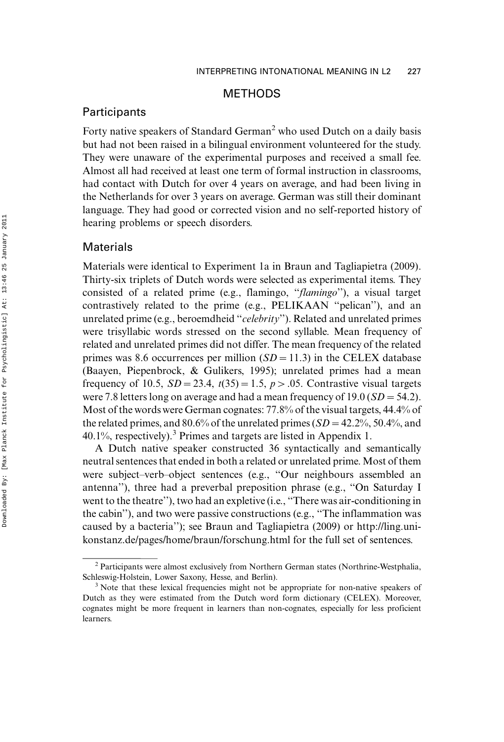## METHODS

# **Participants**

Forty native speakers of Standard German<sup>2</sup> who used Dutch on a daily basis but had not been raised in a bilingual environment volunteered for the study. They were unaware of the experimental purposes and received a small fee. Almost all had received at least one term of formal instruction in classrooms, had contact with Dutch for over 4 years on average, and had been living in the Netherlands for over 3 years on average. German was still their dominant language. They had good or corrected vision and no self-reported history of hearing problems or speech disorders.

## Materials

Materials were identical to Experiment 1a in Braun and Tagliapietra (2009). Thirty-six triplets of Dutch words were selected as experimental items. They consisted of a related prime (e.g., flamingo, ''flamingo''), a visual target contrastively related to the prime (e.g., PELIKAAN ''pelican''), and an unrelated prime (e.g., beroemdheid ''celebrity''). Related and unrelated primes were trisyllabic words stressed on the second syllable. Mean frequency of related and unrelated primes did not differ. The mean frequency of the related primes was 8.6 occurrences per million  $(SD = 11.3)$  in the CELEX database (Baayen, Piepenbrock, & Gulikers, 1995); unrelated primes had a mean frequency of 10.5,  $SD = 23.4$ ,  $t(35) = 1.5$ ,  $p > .05$ . Contrastive visual targets were 7.8 letters long on average and had a mean frequency of  $19.0 (SD = 54.2)$ . Most of the words were German cognates: 77.8% of the visual targets, 44.4% of the related primes, and 80.6% of the unrelated primes  $(SD = 42.2\%, 50.4\%, \text{and}$  $40.1\%$ , respectively).<sup>3</sup> Primes and targets are listed in Appendix 1.

A Dutch native speaker constructed 36 syntactically and semantically neutral sentences that ended in both a related or unrelated prime. Most of them were subject-verb-object sentences (e.g., "Our neighbours assembled an antenna''), three had a preverbal preposition phrase (e.g., ''On Saturday I went to the theatre''), two had an expletive (i.e., ''There was air-conditioning in the cabin''), and two were passive constructions (e.g., ''The inflammation was caused by a bacteria''); see Braun and Tagliapietra (2009) or [http://ling.uni](http://ling.uni-konstanz.de/pages/home/braun/forschung.html)[konstanz.de/pages/home/braun/forschung.html](http://ling.uni-konstanz.de/pages/home/braun/forschung.html) for the full set of sentences.

<sup>&</sup>lt;sup>2</sup> Participants were almost exclusively from Northern German states (Northrine-Westphalia, Schleswig-Holstein, Lower Saxony, Hesse, and Berlin).<br><sup>3</sup> Note that these lexical frequencies might not be appropriate for non-native speakers of

Dutch as they were estimated from the Dutch word form dictionary (CELEX). Moreover, cognates might be more frequent in learners than non-cognates, especially for less proficient learners.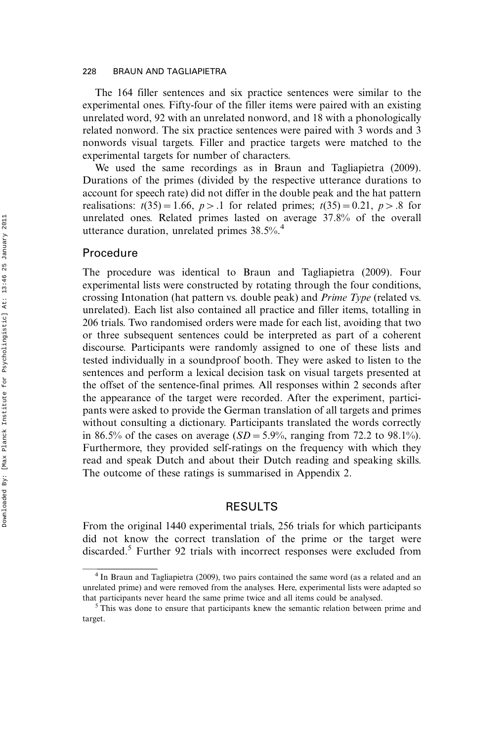The 164 filler sentences and six practice sentences were similar to the experimental ones. Fifty-four of the filler items were paired with an existing unrelated word, 92 with an unrelated nonword, and 18 with a phonologically related nonword. The six practice sentences were paired with 3 words and 3 nonwords visual targets. Filler and practice targets were matched to the experimental targets for number of characters.

We used the same recordings as in Braun and Tagliapietra (2009). Durations of the primes (divided by the respective utterance durations to account for speech rate) did not differ in the double peak and the hat pattern realisations:  $t(35)=1.66$ ,  $p>1$  for related primes;  $t(35)=0.21$ ,  $p>8$  for unrelated ones. Related primes lasted on average 37.8% of the overall utterance duration, unrelated primes 38.5%.<sup>4</sup>

#### Procedure

The procedure was identical to Braun and Tagliapietra (2009). Four experimental lists were constructed by rotating through the four conditions, crossing Intonation (hat pattern vs. double peak) and Prime Type (related vs. unrelated). Each list also contained all practice and filler items, totalling in 206 trials. Two randomised orders were made for each list, avoiding that two or three subsequent sentences could be interpreted as part of a coherent discourse. Participants were randomly assigned to one of these lists and tested individually in a soundproof booth. They were asked to listen to the sentences and perform a lexical decision task on visual targets presented at the offset of the sentence-final primes. All responses within 2 seconds after the appearance of the target were recorded. After the experiment, participants were asked to provide the German translation of all targets and primes without consulting a dictionary. Participants translated the words correctly in 86.5% of the cases on average ( $SD = 5.9$ %, ranging from 72.2 to 98.1%). Furthermore, they provided self-ratings on the frequency with which they read and speak Dutch and about their Dutch reading and speaking skills. The outcome of these ratings is summarised in Appendix 2.

## RESULTS

From the original 1440 experimental trials, 256 trials for which participants did not know the correct translation of the prime or the target were discarded.5 Further 92 trials with incorrect responses were excluded from

<sup>&</sup>lt;sup>4</sup> In Braun and Tagliapietra (2009), two pairs contained the same word (as a related and an unrelated prime) and were removed from the analyses. Here, experimental lists were adapted so that participants never heard the same prime twice and all items could be analysed. <sup>5</sup> This was done to ensure that participants knew the semantic relation between prime and

target.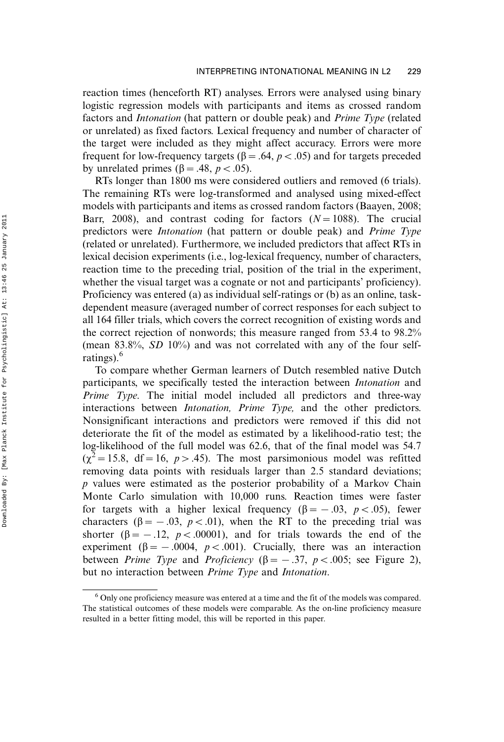reaction times (henceforth RT) analyses. Errors were analysed using binary logistic regression models with participants and items as crossed random factors and Intonation (hat pattern or double peak) and Prime Type (related or unrelated) as fixed factors. Lexical frequency and number of character of the target were included as they might affect accuracy. Errors were more frequent for low-frequency targets ( $\beta = .64$ ,  $p < .05$ ) and for targets preceded by unrelated primes ( $\beta$  = .48, p < .05).

RTs longer than 1800 ms were considered outliers and removed (6 trials). The remaining RTs were log-transformed and analysed using mixed-effect models with participants and items as crossed random factors (Baayen, 2008; Barr, 2008), and contrast coding for factors  $(N=1088)$ . The crucial predictors were Intonation (hat pattern or double peak) and Prime Type (related or unrelated). Furthermore, we included predictors that affect RTs in lexical decision experiments (i.e., log-lexical frequency, number of characters, reaction time to the preceding trial, position of the trial in the experiment, whether the visual target was a cognate or not and participants' proficiency). Proficiency was entered (a) as individual self-ratings or (b) as an online, taskdependent measure (averaged number of correct responses for each subject to all 164 filler trials, which covers the correct recognition of existing words and the correct rejection of nonwords; this measure ranged from 53.4 to 98.2% (mean 83.8%, SD 10%) and was not correlated with any of the four selfratings).<sup>6</sup>

To compare whether German learners of Dutch resembled native Dutch participants, we specifically tested the interaction between Intonation and Prime Type. The initial model included all predictors and three-way interactions between *Intonation*, *Prime Type*, and the other predictors. Nonsignificant interactions and predictors were removed if this did not deteriorate the fit of the model as estimated by a likelihood-ratio test; the log-likelihood of the full model was 62.6, that of the final model was 54.7  $(\chi^2 = 15.8, df = 16, p > .45)$ . The most parsimonious model was refitted removing data points with residuals larger than 2.5 standard deviations; p values were estimated as the posterior probability of a Markov Chain Monte Carlo simulation with 10,000 runs. Reaction times were faster for targets with a higher lexical frequency ( $\beta = -.03, p < .05$ ), fewer characters ( $\beta = -.03$ ,  $p < .01$ ), when the RT to the preceding trial was shorter ( $\beta = -.12$ ,  $p < .00001$ ), and for trials towards the end of the experiment ( $\beta = -.0004$ ,  $p < .001$ ). Crucially, there was an interaction between *Prime Type* and *Proficiency* ( $\beta = -.37$ ,  $p < .005$ ; see Figure 2), but no interaction between Prime Type and Intonation.

<sup>&</sup>lt;sup>6</sup> Only one proficiency measure was entered at a time and the fit of the models was compared. The statistical outcomes of these models were comparable. As the on-line proficiency measure resulted in a better fitting model, this will be reported in this paper.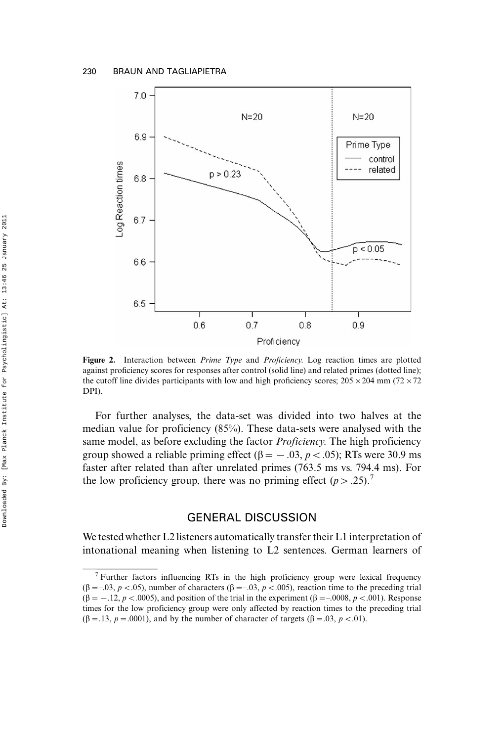

Figure 2. Interaction between *Prime Type* and *Proficiency*. Log reaction times are plotted against proficiency scores for responses after control (solid line) and related primes (dotted line); the cutoff line divides participants with low and high proficiency scores;  $205 \times 204$  mm (72  $\times$  72 DPI).

For further analyses, the data-set was divided into two halves at the median value for proficiency (85%). These data-sets were analysed with the same model, as before excluding the factor *Proficiency*. The high proficiency group showed a reliable priming effect ( $\beta = -.03$ ,  $p < .05$ ); RTs were 30.9 ms faster after related than after unrelated primes (763.5 ms vs. 794.4 ms). For the low proficiency group, there was no priming effect  $(p > .25)$ .<sup>7</sup>

# GENERAL DISCUSSION

We tested whether L2 listeners automatically transfer their L1 interpretation of intonational meaning when listening to L2 sentences. German learners of

<sup>&</sup>lt;sup>7</sup> Further factors influencing RTs in the high proficiency group were lexical frequency  $(\beta=-0.03, p<.05)$ , number of characters  $(\beta=-0.05, p<.005)$ , reaction time to the preceding trial  $(\beta = -.12, p < .0005)$ , and position of the trial in the experiment  $(\beta = .0008, p < .001)$ . Response times for the low proficiency group were only affected by reaction times to the preceding trial  $(\beta = .13, p = .0001)$ , and by the number of character of targets ( $\beta = .03, p < .01$ ).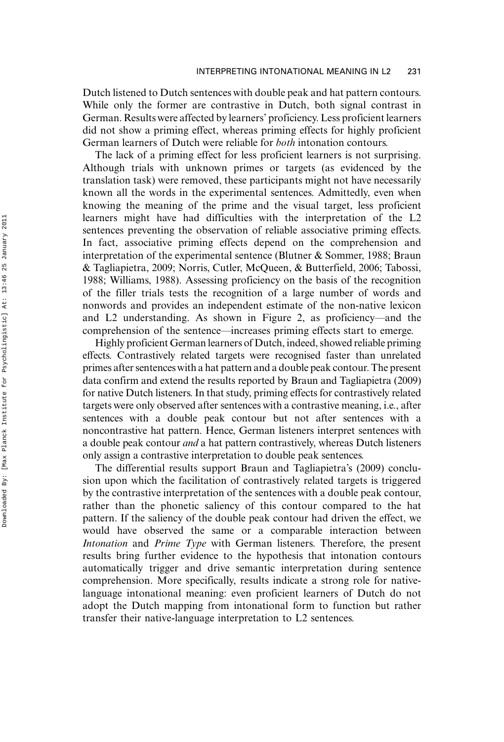Dutch listened to Dutch sentences with double peak and hat pattern contours. While only the former are contrastive in Dutch, both signal contrast in German. Results were affected by learners' proficiency. Less proficient learners did not show a priming effect, whereas priming effects for highly proficient German learners of Dutch were reliable for both intonation contours.

The lack of a priming effect for less proficient learners is not surprising. Although trials with unknown primes or targets (as evidenced by the translation task) were removed, these participants might not have necessarily known all the words in the experimental sentences. Admittedly, even when knowing the meaning of the prime and the visual target, less proficient learners might have had difficulties with the interpretation of the L2 sentences preventing the observation of reliable associative priming effects. In fact, associative priming effects depend on the comprehension and interpretation of the experimental sentence (Blutner & Sommer, 1988; Braun & Tagliapietra, 2009; Norris, Cutler, McQueen, & Butterfield, 2006; Tabossi, 1988; Williams, 1988). Assessing proficiency on the basis of the recognition of the filler trials tests the recognition of a large number of words and nonwords and provides an independent estimate of the non-native lexicon and  $L2$  understanding. As shown in Figure 2, as proficiency—and the comprehension of the sentence—increases priming effects start to emerge.

Highly proficient German learners of Dutch, indeed, showed reliable priming effects. Contrastively related targets were recognised faster than unrelated primes after sentences with a hat pattern and a double peak contour. The present data confirm and extend the results reported by Braun and Tagliapietra (2009) for native Dutch listeners. In that study, priming effects for contrastively related targets were only observed after sentences with a contrastive meaning, i.e., after sentences with a double peak contour but not after sentences with a noncontrastive hat pattern. Hence, German listeners interpret sentences with a double peak contour and a hat pattern contrastively, whereas Dutch listeners only assign a contrastive interpretation to double peak sentences.

The differential results support Braun and Tagliapietra's (2009) conclusion upon which the facilitation of contrastively related targets is triggered by the contrastive interpretation of the sentences with a double peak contour, rather than the phonetic saliency of this contour compared to the hat pattern. If the saliency of the double peak contour had driven the effect, we would have observed the same or a comparable interaction between Intonation and Prime Type with German listeners. Therefore, the present results bring further evidence to the hypothesis that intonation contours automatically trigger and drive semantic interpretation during sentence comprehension. More specifically, results indicate a strong role for nativelanguage intonational meaning: even proficient learners of Dutch do not adopt the Dutch mapping from intonational form to function but rather transfer their native-language interpretation to L2 sentences.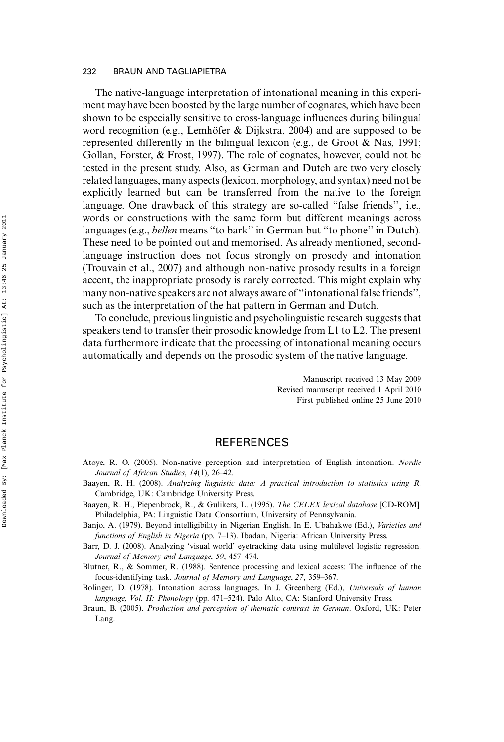The native-language interpretation of intonational meaning in this experiment may have been boosted by the large number of cognates, which have been shown to be especially sensitive to cross-language influences during bilingual word recognition (e.g., Lemhöfer & Dijkstra, 2004) and are supposed to be represented differently in the bilingual lexicon (e.g., de Groot & Nas, 1991; Gollan, Forster, & Frost, 1997). The role of cognates, however, could not be tested in the present study. Also, as German and Dutch are two very closely related languages, many aspects (lexicon, morphology, and syntax) need not be explicitly learned but can be transferred from the native to the foreign language. One drawback of this strategy are so-called ''false friends'', i.e., words or constructions with the same form but different meanings across languages (e.g., bellen means ''to bark'' in German but ''to phone'' in Dutch). These need to be pointed out and memorised. As already mentioned, secondlanguage instruction does not focus strongly on prosody and intonation (Trouvain et al., 2007) and although non-native prosody results in a foreign accent, the inappropriate prosody is rarely corrected. This might explain why many non-native speakers are not always aware of ''intonational false friends'', such as the interpretation of the hat pattern in German and Dutch.

To conclude, previous linguistic and psycholinguistic research suggests that speakers tend to transfer their prosodic knowledge from L1 to L2. The present data furthermore indicate that the processing of intonational meaning occurs automatically and depends on the prosodic system of the native language.

> Manuscript received 13 May 2009 Revised manuscript received 1 April 2010 First published online 25 June 2010

# **REFERENCES**

- Atoye, R. O. (2005). Non-native perception and interpretation of English intonation. Nordic Journal of African Studies,  $14(1)$ ,  $26-42$ .
- Baayen, R. H. (2008). Analyzing linguistic data: A practical introduction to statistics using R. Cambridge, UK: Cambridge University Press.
- Baayen, R. H., Piepenbrock, R., & Gulikers, L. (1995). The CELEX lexical database [CD-ROM]. Philadelphia, PA: Linguistic Data Consortium, University of Pennsylvania.
- Banjo, A. (1979). Beyond intelligibility in Nigerian English. In E. Ubahakwe (Ed.), Varieties and functions of English in Nigeria (pp. 7-13). Ibadan, Nigeria: African University Press.
- Barr, D. J. (2008). Analyzing 'visual world' eyetracking data using multilevel logistic regression. Journal of Memory and Language, 59, 457-474.
- Blutner, R., & Sommer, R. (1988). Sentence processing and lexical access: The influence of the focus-identifying task. Journal of Memory and Language, 27, 359-367.
- Bolinger, D. (1978). Intonation across languages. In J. Greenberg (Ed.), Universals of human language, Vol. II: Phonology (pp. 471–524). Palo Alto, CA: Stanford University Press.
- Braun, B. (2005). Production and perception of thematic contrast in German. Oxford, UK: Peter Lang.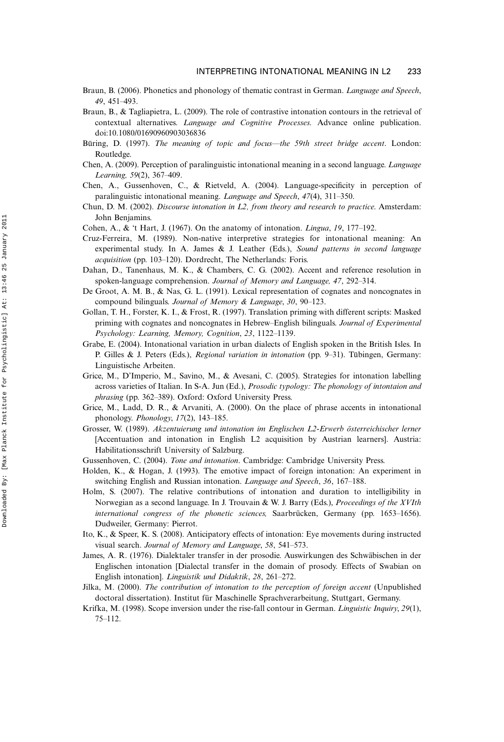- Braun, B. (2006). Phonetics and phonology of thematic contrast in German. Language and Speech, 49, 451-493.
- Braun, B., & Tagliapietra, L. (2009). The role of contrastive intonation contours in the retrieval of contextual alternatives. Language and Cognitive Processes. Advance online publication. doi:10.1080/01690960903036836
- Büring, D. (1997). The meaning of topic and focus—the 59th street bridge accent. London: Routledge.
- Chen, A. (2009). Perception of paralinguistic intonational meaning in a second language. Language Learning, 59(2), 367-409.
- Chen, A., Gussenhoven, C., & Rietveld, A. (2004). Language-specificity in perception of paralinguistic intonational meaning. Language and Speech, 47(4), 311-350.
- Chun, D. M. (2002). Discourse intonation in L2, from theory and research to practice. Amsterdam: John Benjamins.
- Cohen, A., & 't Hart, J. (1967). On the anatomy of intonation. *Lingua*,  $19$ , 177–192.
- Cruz-Ferreira, M. (1989). Non-native interpretive strategies for intonational meaning: An experimental study. In A. James & J. Leather (Eds.), Sound patterns in second language acquisition (pp. 103–120). Dordrecht, The Netherlands: Foris.
- Dahan, D., Tanenhaus, M. K., & Chambers, C. G. (2002). Accent and reference resolution in spoken-language comprehension. Journal of Memory and Language, 47, 292-314.
- De Groot, A. M. B., & Nas, G. L. (1991). Lexical representation of cognates and noncognates in compound bilinguals. Journal of Memory & Language, 30, 90-123.
- Gollan, T. H., Forster, K. I., & Frost, R. (1997). Translation priming with different scripts: Masked priming with cognates and noncognates in Hebrew-English bilinguals. Journal of Experimental Psychology: Learning, Memory, Cognition, 23, 1122-1139.
- Grabe, E. (2004). Intonational variation in urban dialects of English spoken in the British Isles. In P. Gilles & J. Peters (Eds.), Regional variation in intonation (pp. 9-31). Tübingen, Germany: Linguistische Arbeiten.
- Grice, M., D'Imperio, M., Savino, M., & Avesani, C. (2005). Strategies for intonation labelling across varieties of Italian. In S-A. Jun (Ed.), Prosodic typology: The phonology of intontaion and phrasing (pp. 362-389). Oxford: Oxford University Press.
- Grice, M., Ladd, D. R., & Arvaniti, A. (2000). On the place of phrase accents in intonational phonology. Phonology,  $17(2)$ ,  $143-185$ .
- Grosser, W. (1989). Akzentuierung und intonation im Englischen L2-Erwerb österreichischer lerner [Accentuation and intonation in English L2 acquisition by Austrian learners]. Austria: Habilitationsschrift University of Salzburg.
- Gussenhoven, C. (2004). Tone and intonation. Cambridge: Cambridge University Press.
- Holden, K., & Hogan, J. (1993). The emotive impact of foreign intonation: An experiment in switching English and Russian intonation. *Language and Speech*, 36, 167–188.
- Holm, S. (2007). The relative contributions of intonation and duration to intelligibility in Norwegian as a second language. In J. Trouvain & W. J. Barry (Eds.), *Proceedings of the XVIth*  $intermational$  congress of the phonetic sciences, Saarbrücken, Germany (pp. 1653–1656). Dudweiler, Germany: Pierrot.
- Ito, K., & Speer, K. S. (2008). Anticipatory effects of intonation: Eye movements during instructed visual search. Journal of Memory and Language, 58, 541-573.
- James, A. R. (1976). Dialektaler transfer in der prosodie. Auswirkungen des Schwäbischen in der Englischen intonation [Dialectal transfer in the domain of prosody. Effects of Swabian on English intonation]. Linguistik und Didaktik, 28, 261-272.
- Jilka, M. (2000). The contribution of intonation to the perception of foreign accent (Unpublished doctoral dissertation). Institut für Maschinelle Sprachverarbeitung, Stuttgart, Germany.
- Krifka, M. (1998). Scope inversion under the rise-fall contour in German. Linguistic Inquiry, 29(1),  $75 - 112$ .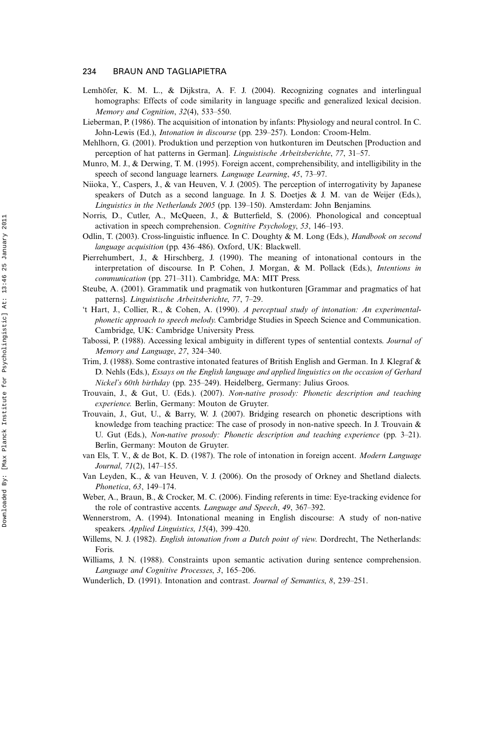- Lemhöfer, K. M. L., & Dijkstra, A. F. J. (2004). Recognizing cognates and interlingual homographs: Effects of code similarity in language specific and generalized lexical decision. Memory and Cognition, 32(4), 533-550.
- Lieberman, P. (1986). The acquisition of intonation by infants: Physiology and neural control. In C. John-Lewis (Ed.), *Intonation in discourse* (pp. 239-257). London: Croom-Helm.
- Mehlhorn, G. (2001). Produktion und perzeption von hutkonturen im Deutschen [Production and perception of hat patterns in German]. Linguistische Arbeitsberichte, 77, 31–57.
- Munro, M. J., & Derwing, T. M. (1995). Foreign accent, comprehensibility, and intelligibility in the speech of second language learners. Language Learning, 45, 73-97.
- Niioka, Y., Caspers, J., & van Heuven, V. J. (2005). The perception of interrogativity by Japanese speakers of Dutch as a second language. In J. S. Doetjes  $\&$  J. M. van de Weijer (Eds.), Linguistics in the Netherlands 2005 (pp. 139-150). Amsterdam: John Benjamins.
- Norris, D., Cutler, A., McQueen, J., & Butterfield, S. (2006). Phonological and conceptual activation in speech comprehension. Cognitive Psychology, 53, 146-193.
- Odlin, T. (2003). Cross-linguistic influence. In C. Doughty & M. Long (Eds.), Handbook on second language acquisition (pp. 436-486). Oxford, UK: Blackwell.
- Pierrehumbert, J., & Hirschberg, J. (1990). The meaning of intonational contours in the interpretation of discourse. In P. Cohen, J. Morgan, & M. Pollack (Eds.), Intentions in communication (pp. 271-311). Cambridge, MA: MIT Press.
- Steube, A. (2001). Grammatik und pragmatik von hutkonturen [Grammar and pragmatics of hat patterns]. Linguistische Arbeitsberichte, 77, 7-29.
- 't Hart, J., Collier, R., & Cohen, A. (1990). A perceptual study of intonation: An experimentalphonetic approach to speech melody. Cambridge Studies in Speech Science and Communication. Cambridge, UK: Cambridge University Press.
- Tabossi, P. (1988). Accessing lexical ambiguity in different types of sentential contexts. Journal of Memory and Language, 27, 324-340.
- Trim, J. (1988). Some contrastive intonated features of British English and German. In J. Klegraf & D. Nehls (Eds.), Essays on the English language and applied linguistics on the occasion of Gerhard Nickel's 60th birthday (pp. 235249). Heidelberg, Germany: Julius Groos.
- Trouvain, J., & Gut, U. (Eds.). (2007). Non-native prosody: Phonetic description and teaching experience. Berlin, Germany: Mouton de Gruyter.
- Trouvain, J., Gut, U., & Barry, W. J. (2007). Bridging research on phonetic descriptions with knowledge from teaching practice: The case of prosody in non-native speech. In J. Trouvain & U. Gut (Eds.), Non-native prosody: Phonetic description and teaching experience (pp. 3–21). Berlin, Germany: Mouton de Gruyter.
- van Els, T. V., & de Bot, K. D. (1987). The role of intonation in foreign accent. Modern Language Journal,  $71(2)$ ,  $147-155$ .
- Van Leyden, K., & van Heuven, V. J. (2006). On the prosody of Orkney and Shetland dialects. Phonetica, 63, 149-174.
- Weber, A., Braun, B., & Crocker, M. C. (2006). Finding referents in time: Eye-tracking evidence for the role of contrastive accents. Language and Speech, 49, 367-392.
- Wennerstrom, A. (1994). Intonational meaning in English discourse: A study of non-native speakers. Applied Linguistics, 15(4), 399-420.
- Willems, N. J. (1982). *English intonation from a Dutch point of view*. Dordrecht, The Netherlands: Foris.
- Williams, J. N. (1988). Constraints upon semantic activation during sentence comprehension. Language and Cognitive Processes, 3, 165-206.

Wunderlich, D. (1991). Intonation and contrast. Journal of Semantics, 8, 239–251.